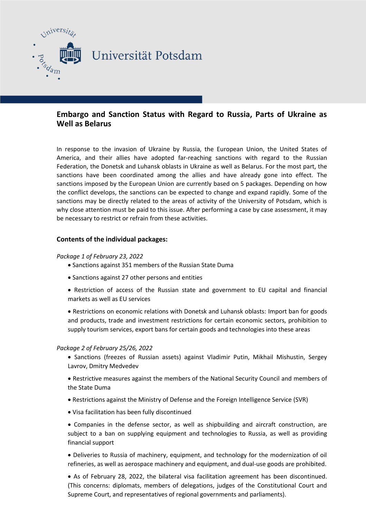

# **Embargo and Sanction Status with Regard to Russia, Parts of Ukraine as Well as Belarus**

In response to the invasion of Ukraine by Russia, the European Union, the United States of America, and their allies have adopted far-reaching sanctions with regard to the Russian Federation, the Donetsk and Luhansk oblasts in Ukraine as well as Belarus. For the most part, the sanctions have been coordinated among the allies and have already gone into effect. The sanctions imposed by the European Union are currently based on 5 packages. Depending on how the conflict develops, the sanctions can be expected to change and expand rapidly. Some of the sanctions may be directly related to the areas of activity of the University of Potsdam, which is why close attention must be paid to this issue. After performing a case by case assessment, it may be necessary to restrict or refrain from these activities.

# **Contents of the individual packages:**

#### *Package 1 of February 23, 2022*

- Sanctions against 351 members of the Russian State Duma
- Sanctions against 27 other persons and entities
- Restriction of access of the Russian state and government to EU capital and financial markets as well as EU services

 Restrictions on economic relations with Donetsk and Luhansk oblasts: Import ban for goods and products, trade and investment restrictions for certain economic sectors, prohibition to supply tourism services, export bans for certain goods and technologies into these areas

#### *Package 2 of February 25/26, 2022*

- Sanctions (freezes of Russian assets) against Vladimir Putin, Mikhail Mishustin, Sergey Lavrov, Dmitry Medvedev
- Restrictive measures against the members of the National Security Council and members of the State Duma
- Restrictions against the Ministry of Defense and the Foreign Intelligence Service (SVR)
- Visa facilitation has been fully discontinued

 Companies in the defense sector, as well as shipbuilding and aircraft construction, are subject to a ban on supplying equipment and technologies to Russia, as well as providing financial support

 Deliveries to Russia of machinery, equipment, and technology for the modernization of oil refineries, as well as aerospace machinery and equipment, and dual-use goods are prohibited.

 As of February 28, 2022, the bilateral visa facilitation agreement has been discontinued. (This concerns: diplomats, members of delegations, judges of the Constitutional Court and Supreme Court, and representatives of regional governments and parliaments).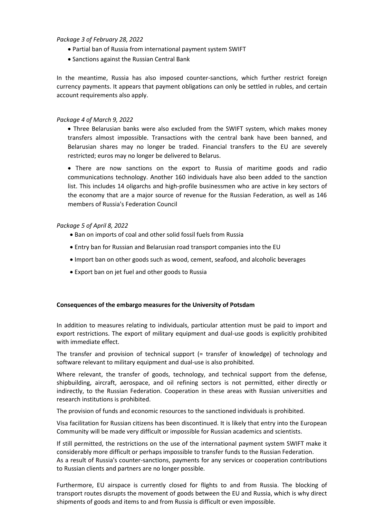# *Package 3 of February 28, 2022*

- Partial ban of Russia from international payment system SWIFT
- Sanctions against the Russian Central Bank

In the meantime, Russia has also imposed counter-sanctions, which further restrict foreign currency payments. It appears that payment obligations can only be settled in rubles, and certain account requirements also apply.

### *Package 4 of March 9, 2022*

 Three Belarusian banks were also excluded from the SWIFT system, which makes money transfers almost impossible. Transactions with the central bank have been banned, and Belarusian shares may no longer be traded. Financial transfers to the EU are severely restricted; euros may no longer be delivered to Belarus.

 There are now sanctions on the export to Russia of maritime goods and radio communications technology. Another 160 individuals have also been added to the sanction list. This includes 14 oligarchs and high-profile businessmen who are active in key sectors of the economy that are a major source of revenue for the Russian Federation, as well as 146 members of Russia's Federation Council

# *Package 5 of April 8, 2022*

- Ban on imports of coal and other solid fossil fuels from Russia
- Entry ban for Russian and Belarusian road transport companies into the EU
- Import ban on other goods such as wood, cement, seafood, and alcoholic beverages
- Export ban on jet fuel and other goods to Russia

#### **Consequences of the embargo measures for the University of Potsdam**

In addition to measures relating to individuals, particular attention must be paid to import and export restrictions. The export of military equipment and dual-use goods is explicitly prohibited with immediate effect.

The transfer and provision of technical support (= transfer of knowledge) of technology and software relevant to military equipment and dual-use is also prohibited.

Where relevant, the transfer of goods, technology, and technical support from the defense, shipbuilding, aircraft, aerospace, and oil refining sectors is not permitted, either directly or indirectly, to the Russian Federation. Cooperation in these areas with Russian universities and research institutions is prohibited.

The provision of funds and economic resources to the sanctioned individuals is prohibited.

Visa facilitation for Russian citizens has been discontinued. It is likely that entry into the European Community will be made very difficult or impossible for Russian academics and scientists.

If still permitted, the restrictions on the use of the international payment system SWIFT make it considerably more difficult or perhaps impossible to transfer funds to the Russian Federation. As a result of Russia's counter-sanctions, payments for any services or cooperation contributions to Russian clients and partners are no longer possible.

Furthermore, EU airspace is currently closed for flights to and from Russia. The blocking of transport routes disrupts the movement of goods between the EU and Russia, which is why direct shipments of goods and items to and from Russia is difficult or even impossible.